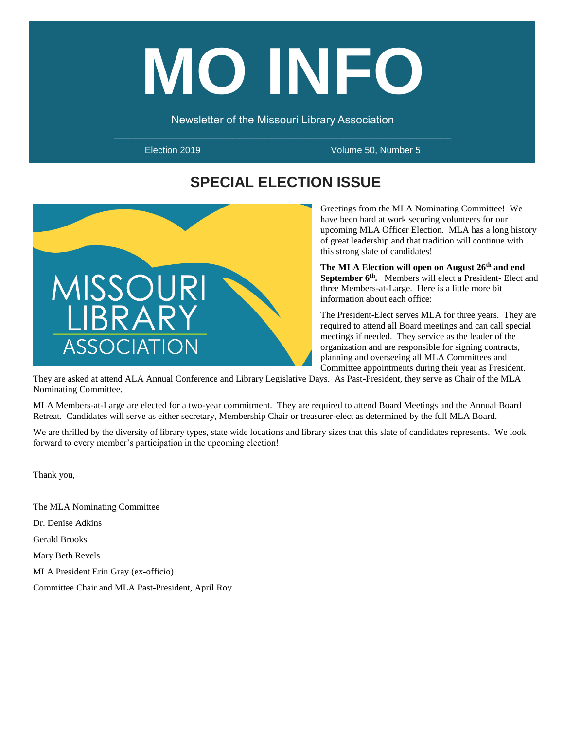# **MO INFO**

Newsletter of the Missouri Library Association

Election 2019 Volume 50, Number 5

# **SPECIAL ELECTION ISSUE**



Greetings from the MLA Nominating Committee! We have been hard at work securing volunteers for our upcoming MLA Officer Election. MLA has a long history of great leadership and that tradition will continue with this strong slate of candidates!

**The MLA Election will open on August 26th and end**  September 6<sup>th</sup>. Members will elect a President- Elect and three Members-at-Large. Here is a little more bit information about each office:

The President-Elect serves MLA for three years. They are required to attend all Board meetings and can call special meetings if needed. They service as the leader of the organization and are responsible for signing contracts, planning and overseeing all MLA Committees and Committee appointments during their year as President.

They are asked at attend ALA Annual Conference and Library Legislative Days. As Past-President, they serve as Chair of the MLA Nominating Committee.

MLA Members-at-Large are elected for a two-year commitment. They are required to attend Board Meetings and the Annual Board Retreat. Candidates will serve as either secretary, Membership Chair or treasurer-elect as determined by the full MLA Board.

We are thrilled by the diversity of library types, state wide locations and library sizes that this slate of candidates represents. We look forward to every member's participation in the upcoming election!

Thank you,

The MLA Nominating Committee Dr. Denise Adkins Gerald Brooks Mary Beth Revels MLA President Erin Gray (ex-officio) Committee Chair and MLA Past-President, April Roy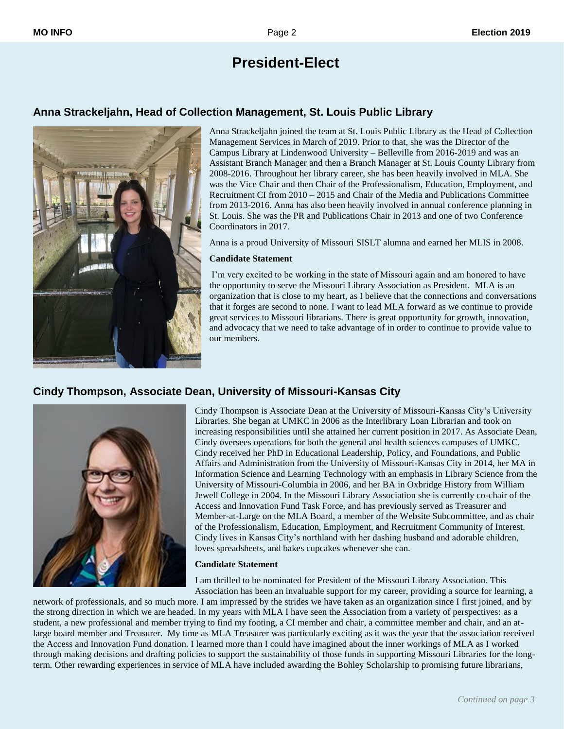# **President-Elect**

# **Anna Strackeljahn, Head of Collection Management, St. Louis Public Library**



Anna Strackeljahn joined the team at St. Louis Public Library as the Head of Collection Management Services in March of 2019. Prior to that, she was the Director of the Campus Library at Lindenwood University – Belleville from 2016-2019 and was an Assistant Branch Manager and then a Branch Manager at St. Louis County Library from 2008-2016. Throughout her library career, she has been heavily involved in MLA. She was the Vice Chair and then Chair of the Professionalism, Education, Employment, and Recruitment CI from 2010 – 2015 and Chair of the Media and Publications Committee from 2013-2016. Anna has also been heavily involved in annual conference planning in St. Louis. She was the PR and Publications Chair in 2013 and one of two Conference Coordinators in 2017.

Anna is a proud University of Missouri SISLT alumna and earned her MLIS in 2008.

#### **Candidate Statement**

I'm very excited to be working in the state of Missouri again and am honored to have the opportunity to serve the Missouri Library Association as President. MLA is an organization that is close to my heart, as I believe that the connections and conversations that it forges are second to none. I want to lead MLA forward as we continue to provide great services to Missouri librarians. There is great opportunity for growth, innovation, and advocacy that we need to take advantage of in order to continue to provide value to our members.

# **Cindy Thompson, Associate Dean, University of Missouri-Kansas City**



Cindy Thompson is Associate Dean at the University of Missouri-Kansas City's University Libraries. She began at UMKC in 2006 as the Interlibrary Loan Librarian and took on increasing responsibilities until she attained her current position in 2017. As Associate Dean, Cindy oversees operations for both the general and health sciences campuses of UMKC. Cindy received her PhD in Educational Leadership, Policy, and Foundations, and Public Affairs and Administration from the University of Missouri-Kansas City in 2014, her MA in Information Science and Learning Technology with an emphasis in Library Science from the University of Missouri-Columbia in 2006, and her BA in Oxbridge History from William Jewell College in 2004. In the Missouri Library Association she is currently co-chair of the Access and Innovation Fund Task Force, and has previously served as Treasurer and Member-at-Large on the MLA Board, a member of the Website Subcommittee, and as chair of the Professionalism, Education, Employment, and Recruitment Community of Interest. Cindy lives in Kansas City's northland with her dashing husband and adorable children, loves spreadsheets, and bakes cupcakes whenever she can.

#### **Candidate Statement**

I am thrilled to be nominated for President of the Missouri Library Association. This Association has been an invaluable support for my career, providing a source for learning, a

network of professionals, and so much more. I am impressed by the strides we have taken as an organization since I first joined, and by the strong direction in which we are headed. In my years with MLA I have seen the Association from a variety of perspectives: as a student, a new professional and member trying to find my footing, a CI member and chair, a committee member and chair, and an atlarge board member and Treasurer. My time as MLA Treasurer was particularly exciting as it was the year that the association received the Access and Innovation Fund donation. I learned more than I could have imagined about the inner workings of MLA as I worked through making decisions and drafting policies to support the sustainability of those funds in supporting Missouri Libraries for the longterm. Other rewarding experiences in service of MLA have included awarding the Bohley Scholarship to promising future librarians,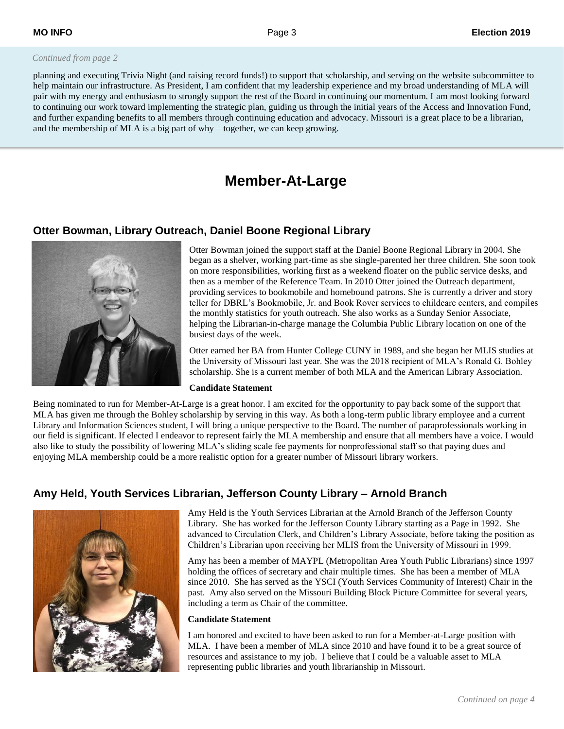#### *Continued from page 2*

planning and executing Trivia Night (and raising record funds!) to support that scholarship, and serving on the website subcommittee to help maintain our infrastructure. As President, I am confident that my leadership experience and my broad understanding of MLA will pair with my energy and enthusiasm to strongly support the rest of the Board in continuing our momentum. I am most looking forward to continuing our work toward implementing the strategic plan, guiding us through the initial years of the Access and Innovation Fund, and further expanding benefits to all members through continuing education and advocacy. Missouri is a great place to be a librarian, and the membership of MLA is a big part of why – together, we can keep growing.

# **Member-At-Large**

## **Otter Bowman, Library Outreach, Daniel Boone Regional Library**



Otter Bowman joined the support staff at the Daniel Boone Regional Library in 2004. She began as a shelver, working part-time as she single-parented her three children. She soon took on more responsibilities, working first as a weekend floater on the public service desks, and then as a member of the Reference Team. In 2010 Otter joined the Outreach department, providing services to bookmobile and homebound patrons. She is currently a driver and story teller for DBRL's Bookmobile, Jr. and Book Rover services to childcare centers, and compiles the monthly statistics for youth outreach. She also works as a Sunday Senior Associate, helping the Librarian-in-charge manage the Columbia Public Library location on one of the busiest days of the week.

Otter earned her BA from Hunter College CUNY in 1989, and she began her MLIS studies at the University of Missouri last year. She was the 2018 recipient of MLA's Ronald G. Bohley scholarship. She is a current member of both MLA and the American Library Association.

#### **Candidate Statement**

Being nominated to run for Member-At-Large is a great honor. I am excited for the opportunity to pay back some of the support that MLA has given me through the Bohley scholarship by serving in this way. As both a long-term public library employee and a current Library and Information Sciences student, I will bring a unique perspective to the Board. The number of paraprofessionals working in our field is significant. If elected I endeavor to represent fairly the MLA membership and ensure that all members have a voice. I would also like to study the possibility of lowering MLA's sliding scale fee payments for nonprofessional staff so that paying dues and enjoying MLA membership could be a more realistic option for a greater number of Missouri library workers.

# **Amy Held, Youth Services Librarian, Jefferson County Library – Arnold Branch**



Amy Held is the Youth Services Librarian at the Arnold Branch of the Jefferson County Library. She has worked for the Jefferson County Library starting as a Page in 1992. She advanced to Circulation Clerk, and Children's Library Associate, before taking the position as Children's Librarian upon receiving her MLIS from the University of Missouri in 1999.

Amy has been a member of MAYPL (Metropolitan Area Youth Public Librarians) since 1997 holding the offices of secretary and chair multiple times. She has been a member of MLA since 2010. She has served as the YSCI (Youth Services Community of Interest) Chair in the past. Amy also served on the Missouri Building Block Picture Committee for several years, including a term as Chair of the committee.

#### **Candidate Statement**

I am honored and excited to have been asked to run for a Member-at-Large position with MLA. I have been a member of MLA since 2010 and have found it to be a great source of resources and assistance to my job. I believe that I could be a valuable asset to MLA representing public libraries and youth librarianship in Missouri.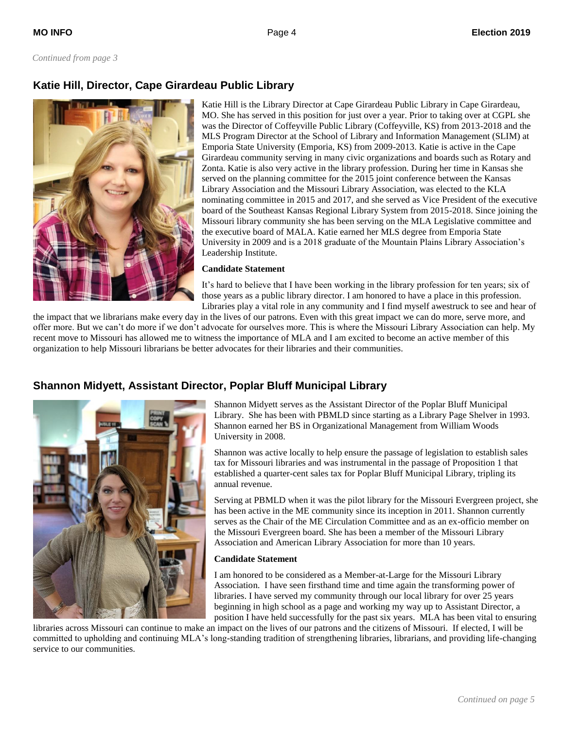# **Katie Hill, Director, Cape Girardeau Public Library**



Katie Hill is the Library Director at Cape Girardeau Public Library in Cape Girardeau, MO. She has served in this position for just over a year. Prior to taking over at CGPL she was the Director of Coffeyville Public Library (Coffeyville, KS) from 2013-2018 and the MLS Program Director at the School of Library and Information Management (SLIM) at Emporia State University (Emporia, KS) from 2009-2013. Katie is active in the Cape Girardeau community serving in many civic organizations and boards such as Rotary and Zonta. Katie is also very active in the library profession. During her time in Kansas she served on the planning committee for the 2015 joint conference between the Kansas Library Association and the Missouri Library Association, was elected to the KLA nominating committee in 2015 and 2017, and she served as Vice President of the executive board of the Southeast Kansas Regional Library System from 2015-2018. Since joining the Missouri library community she has been serving on the MLA Legislative committee and the executive board of MALA. Katie earned her MLS degree from Emporia State University in 2009 and is a 2018 graduate of the Mountain Plains Library Association's Leadership Institute.

#### **Candidate Statement**

It's hard to believe that I have been working in the library profession for ten years; six of those years as a public library director. I am honored to have a place in this profession. Libraries play a vital role in any community and I find myself awestruck to see and hear of

the impact that we librarians make every day in the lives of our patrons. Even with this great impact we can do more, serve more, and offer more. But we can't do more if we don't advocate for ourselves more. This is where the Missouri Library Association can help. My recent move to Missouri has allowed me to witness the importance of MLA and I am excited to become an active member of this organization to help Missouri librarians be better advocates for their libraries and their communities.

# **Shannon Midyett, Assistant Director, Poplar Bluff Municipal Library**



Shannon Midyett serves as the Assistant Director of the Poplar Bluff Municipal Library. She has been with PBMLD since starting as a Library Page Shelver in 1993. Shannon earned her BS in Organizational Management from William Woods University in 2008.

Shannon was active locally to help ensure the passage of legislation to establish sales tax for Missouri libraries and was instrumental in the passage of Proposition 1 that established a quarter-cent sales tax for Poplar Bluff Municipal Library, tripling its annual revenue.

Serving at PBMLD when it was the pilot library for the Missouri Evergreen project, she has been active in the ME community since its inception in 2011. Shannon currently serves as the Chair of the ME Circulation Committee and as an ex-officio member on the Missouri Evergreen board. She has been a member of the Missouri Library Association and American Library Association for more than 10 years.

#### **Candidate Statement**

I am honored to be considered as a Member-at-Large for the Missouri Library Association. I have seen firsthand time and time again the transforming power of libraries. I have served my community through our local library for over 25 years beginning in high school as a page and working my way up to Assistant Director, a position I have held successfully for the past six years. MLA has been vital to ensuring

libraries across Missouri can continue to make an impact on the lives of our patrons and the citizens of Missouri. If elected, I will be committed to upholding and continuing MLA's long-standing tradition of strengthening libraries, librarians, and providing life-changing service to our communities.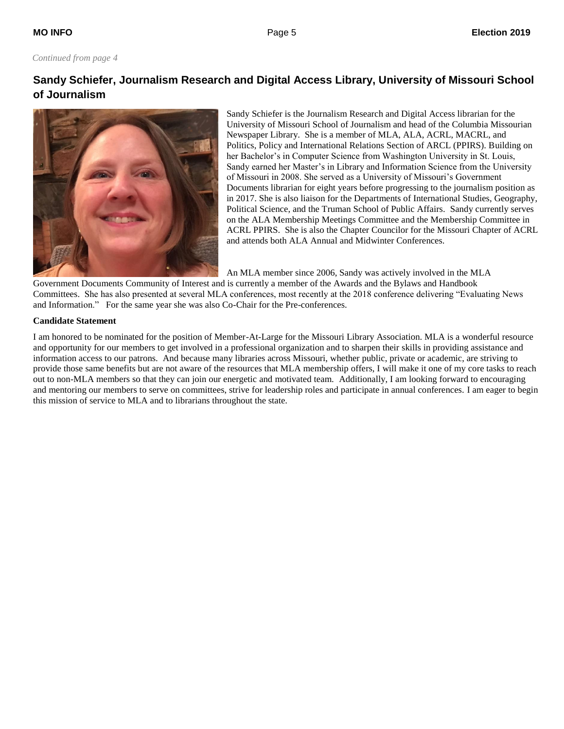#### *Continued from page 4*

# **Sandy Schiefer, Journalism Research and Digital Access Library, University of Missouri School of Journalism**



Sandy Schiefer is the Journalism Research and Digital Access librarian for the University of Missouri School of Journalism and head of the Columbia Missourian Newspaper Library. She is a member of MLA, ALA, ACRL, MACRL, and Politics, Policy and International Relations Section of ARCL (PPIRS). Building on her Bachelor's in Computer Science from Washington University in St. Louis, Sandy earned her Master's in Library and Information Science from the University of Missouri in 2008. She served as a University of Missouri's Government Documents librarian for eight years before progressing to the journalism position as in 2017. She is also liaison for the Departments of International Studies, Geography, Political Science, and the Truman School of Public Affairs. Sandy currently serves on the ALA Membership Meetings Committee and the Membership Committee in ACRL PPIRS. She is also the Chapter Councilor for the Missouri Chapter of ACRL and attends both ALA Annual and Midwinter Conferences.

An MLA member since 2006, Sandy was actively involved in the MLA

Government Documents Community of Interest and is currently a member of the Awards and the Bylaws and Handbook Committees. She has also presented at several MLA conferences, most recently at the 2018 conference delivering "Evaluating News and Information." For the same year she was also Co-Chair for the Pre-conferences.

#### **Candidate Statement**

I am honored to be nominated for the position of Member-At-Large for the Missouri Library Association. MLA is a wonderful resource and opportunity for our members to get involved in a professional organization and to sharpen their skills in providing assistance and information access to our patrons. And because many libraries across Missouri, whether public, private or academic, are striving to provide those same benefits but are not aware of the resources that MLA membership offers, I will make it one of my core tasks to reach out to non-MLA members so that they can join our energetic and motivated team. Additionally, I am looking forward to encouraging and mentoring our members to serve on committees, strive for leadership roles and participate in annual conferences. I am eager to begin this mission of service to MLA and to librarians throughout the state.